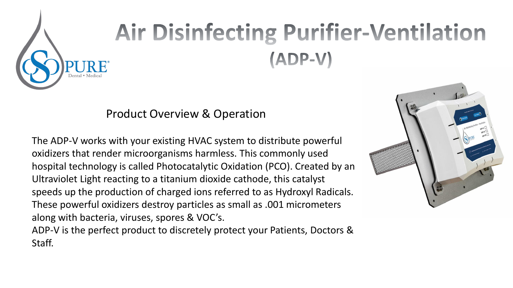

# **Air Disinfecting Purifier-Ventilation** (ADP-V)

#### Product Overview & Operation

The ADP-V works with your existing HVAC system to distribute powerful oxidizers that render microorganisms harmless. This commonly used hospital technology is called Photocatalytic Oxidation (PCO). Created by an Ultraviolet Light reacting to a titanium dioxide cathode, this catalyst speeds up the production of charged ions referred to as Hydroxyl Radicals. These powerful oxidizers destroy particles as small as .001 micrometers along with bacteria, viruses, spores & VOC's.

ADP-V is the perfect product to discretely protect your Patients, Doctors & Staff.

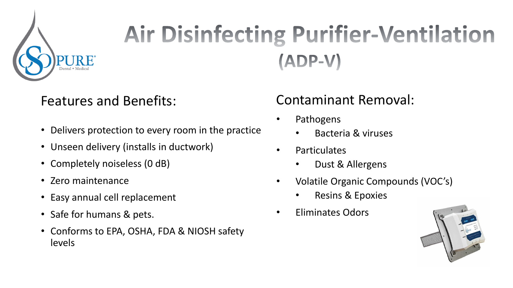

## **Air Disinfecting Purifier-Ventilation**  $(ADP-V)$

#### Features and Benefits:

- Delivers protection to every room in the practice
- Unseen delivery (installs in ductwork)
- Completely noiseless (0 dB)
- Zero maintenance
- Easy annual cell replacement
- Safe for humans & pets.
- Conforms to EPA, OSHA, FDA & NIOSH safety levels

#### Contaminant Removal:

- **Pathogens** 
	- Bacteria & viruses
- Particulates
	- Dust & Allergens
- Volatile Organic Compounds (VOC's)
	- Resins & Epoxies
- Eliminates Odors